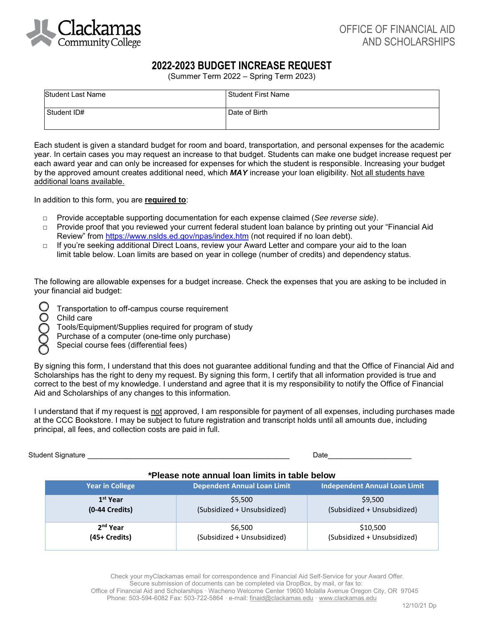

## **2022-2023 BUDGET INCREASE REQUEST**

(Summer Term 2022 – Spring Term 2023)

| <b>Student Last Name</b> | Student First Name |
|--------------------------|--------------------|
| Student ID#              | Date of Birth      |

Each student is given a standard budget for room and board, transportation, and personal expenses for the academic year. In certain cases you may request an increase to that budget. Students can make one budget increase request per each award year and can only be increased for expenses for which the student is responsible. Increasing your budget by the approved amount creates additional need, which *MAY* increase your loan eligibility. Not all students have additional loans available.

In addition to this form, you are **required to**:

- □ Provide acceptable supporting documentation for each expense claimed (*See reverse side)*.
- □ Provide proof that you reviewed your current federal student loan balance by printing out your "Financial Aid Review" from<https://www.nslds.ed.gov/npas/index.htm> (not required if no loan debt).
- □ If you're seeking additional Direct Loans, review your Award Letter and compare your aid to the loan limit table below. Loan limits are based on year in college (number of credits) and dependency status.

The following are allowable expenses for a budget increase. Check the expenses that you are asking to be included in your financial aid budget:

- Transportation to off-campus course requirement
- Child care
	- Tools/Equipment/Supplies required for program of study
- Purchase of a computer (one-time only purchase)
- Special course fees (differential fees)

By signing this form, I understand that this does not guarantee additional funding and that the Office of Financial Aid and Scholarships has the right to deny my request. By signing this form, I certify that all information provided is true and correct to the best of my knowledge. I understand and agree that it is my responsibility to notify the Office of Financial Aid and Scholarships of any changes to this information.

I understand that if my request is not approved, I am responsible for payment of all expenses, including purchases made at the CCC Bookstore. I may be subject to future registration and transcript holds until all amounts due, including principal, all fees, and collection costs are paid in full.

Student Signature \_\_\_\_\_\_\_\_\_\_\_\_\_\_\_\_\_\_\_\_\_\_\_\_\_\_\_\_\_\_\_\_\_\_\_\_\_\_\_\_\_\_\_\_\_\_ Date\_\_\_\_\_\_\_\_\_\_\_\_\_\_\_\_\_\_\_

## **\*Please note annual loan limits in table below**

| <b>Year in College</b> | <b>Dependent Annual Loan Limit</b> | <b>Independent Annual Loan Limit</b> |
|------------------------|------------------------------------|--------------------------------------|
| 1 <sup>st</sup> Year   | \$5,500                            | \$9,500                              |
| $(0-44$ Credits)       | (Subsidized + Unsubsidized)        | (Subsidized + Unsubsidized)          |
| 2 <sup>nd</sup> Year   | \$6,500                            | \$10,500                             |
| (45+ Credits)          | (Subsidized + Unsubsidized)        | (Subsidized + Unsubsidized)          |

Check your myClackamas email for correspondence and Financial Aid Self-Service for your Award Offer. Secure submission of documents can be completed via DropBox, by mail, or fax to: Office of Financial Aid and Scholarships · Wacheno Welcome Center 19600 Molalla Avenue Oregon City, OR 97045 Phone: 503-594-6082 Fax: 503-722-5864 · e-mail: [finaid@clackamas.edu](mailto:finaid@clackamas.edu) · www.clackamas.edu